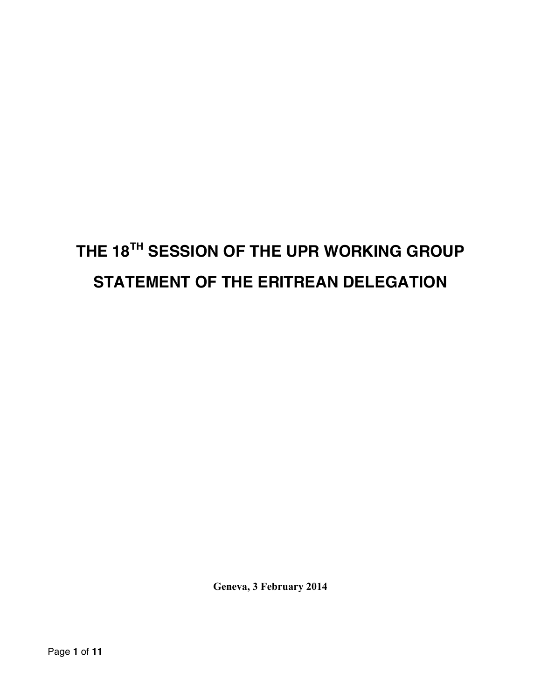# **THE 18TH SESSION OF THE UPR WORKING GROUP STATEMENT OF THE ERITREAN DELEGATION**

**Geneva, 3 February 2014**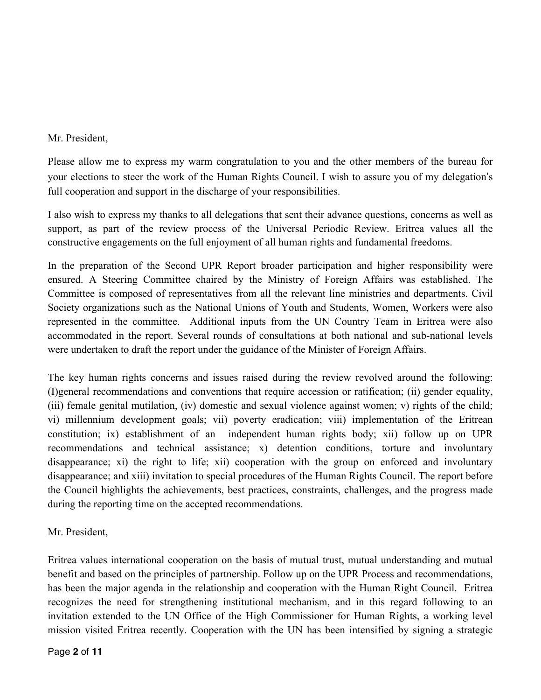#### Mr. President,

Please allow me to express my warm congratulation to you and the other members of the bureau for your elections to steer the work of the Human Rights Council. I wish to assure you of my delegation's full cooperation and support in the discharge of your responsibilities.

I also wish to express my thanks to all delegations that sent their advance questions, concerns as well as support, as part of the review process of the Universal Periodic Review. Eritrea values all the constructive engagements on the full enjoyment of all human rights and fundamental freedoms.

In the preparation of the Second UPR Report broader participation and higher responsibility were ensured. A Steering Committee chaired by the Ministry of Foreign Affairs was established. The Committee is composed of representatives from all the relevant line ministries and departments. Civil Society organizations such as the National Unions of Youth and Students, Women, Workers were also represented in the committee. Additional inputs from the UN Country Team in Eritrea were also accommodated in the report. Several rounds of consultations at both national and sub-national levels were undertaken to draft the report under the guidance of the Minister of Foreign Affairs.

The key human rights concerns and issues raised during the review revolved around the following: (I)general recommendations and conventions that require accession or ratification; (ii) gender equality, (iii) female genital mutilation, (iv) domestic and sexual violence against women; v) rights of the child; vi) millennium development goals; vii) poverty eradication; viii) implementation of the Eritrean constitution; ix) establishment of an independent human rights body; xii) follow up on UPR recommendations and technical assistance; x) detention conditions, torture and involuntary disappearance; xi) the right to life; xii) cooperation with the group on enforced and involuntary disappearance; and xiii) invitation to special procedures of the Human Rights Council. The report before the Council highlights the achievements, best practices, constraints, challenges, and the progress made during the reporting time on the accepted recommendations.

Mr. President,

Eritrea values international cooperation on the basis of mutual trust, mutual understanding and mutual benefit and based on the principles of partnership. Follow up on the UPR Process and recommendations, has been the major agenda in the relationship and cooperation with the Human Right Council. Eritrea recognizes the need for strengthening institutional mechanism, and in this regard following to an invitation extended to the UN Office of the High Commissioner for Human Rights, a working level mission visited Eritrea recently. Cooperation with the UN has been intensified by signing a strategic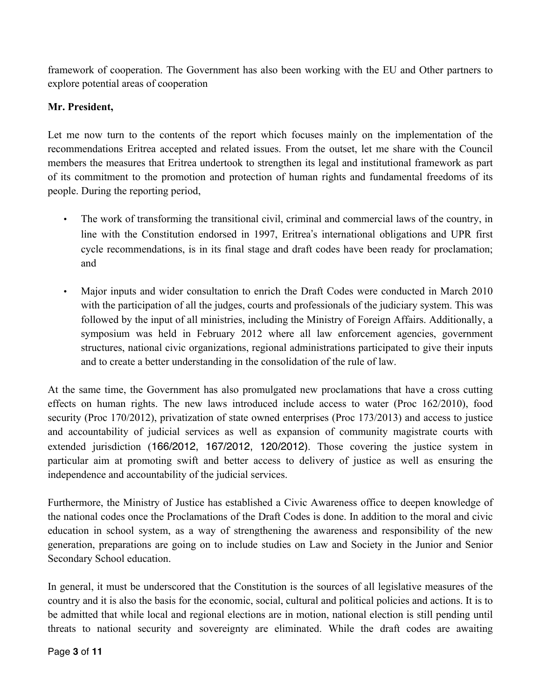framework of cooperation. The Government has also been working with the EU and Other partners to explore potential areas of cooperation

# **Mr. President,**

Let me now turn to the contents of the report which focuses mainly on the implementation of the recommendations Eritrea accepted and related issues. From the outset, let me share with the Council members the measures that Eritrea undertook to strengthen its legal and institutional framework as part of its commitment to the promotion and protection of human rights and fundamental freedoms of its people. During the reporting period,

- The work of transforming the transitional civil, criminal and commercial laws of the country, in line with the Constitution endorsed in 1997, Eritrea's international obligations and UPR first cycle recommendations, is in its final stage and draft codes have been ready for proclamation; and
- Major inputs and wider consultation to enrich the Draft Codes were conducted in March 2010 with the participation of all the judges, courts and professionals of the judiciary system. This was followed by the input of all ministries, including the Ministry of Foreign Affairs. Additionally, a symposium was held in February 2012 where all law enforcement agencies, government structures, national civic organizations, regional administrations participated to give their inputs and to create a better understanding in the consolidation of the rule of law.

At the same time, the Government has also promulgated new proclamations that have a cross cutting effects on human rights. The new laws introduced include access to water (Proc 162/2010), food security (Proc 170/2012), privatization of state owned enterprises (Proc 173/2013) and access to justice and accountability of judicial services as well as expansion of community magistrate courts with extended jurisdiction (166/2012, 167/2012, 120/2012). Those covering the justice system in particular aim at promoting swift and better access to delivery of justice as well as ensuring the independence and accountability of the judicial services.

Furthermore, the Ministry of Justice has established a Civic Awareness office to deepen knowledge of the national codes once the Proclamations of the Draft Codes is done. In addition to the moral and civic education in school system, as a way of strengthening the awareness and responsibility of the new generation, preparations are going on to include studies on Law and Society in the Junior and Senior Secondary School education.

In general, it must be underscored that the Constitution is the sources of all legislative measures of the country and it is also the basis for the economic, social, cultural and political policies and actions. It is to be admitted that while local and regional elections are in motion, national election is still pending until threats to national security and sovereignty are eliminated. While the draft codes are awaiting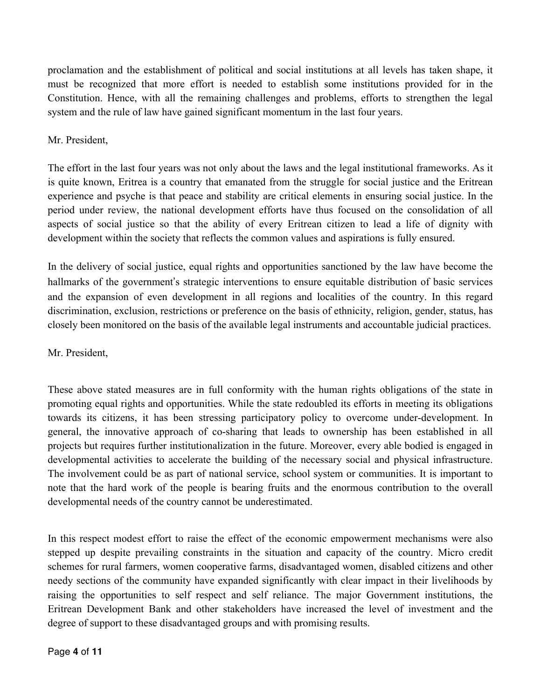proclamation and the establishment of political and social institutions at all levels has taken shape, it must be recognized that more effort is needed to establish some institutions provided for in the Constitution. Hence, with all the remaining challenges and problems, efforts to strengthen the legal system and the rule of law have gained significant momentum in the last four years.

## Mr. President,

The effort in the last four years was not only about the laws and the legal institutional frameworks. As it is quite known, Eritrea is a country that emanated from the struggle for social justice and the Eritrean experience and psyche is that peace and stability are critical elements in ensuring social justice. In the period under review, the national development efforts have thus focused on the consolidation of all aspects of social justice so that the ability of every Eritrean citizen to lead a life of dignity with development within the society that reflects the common values and aspirations is fully ensured.

In the delivery of social justice, equal rights and opportunities sanctioned by the law have become the hallmarks of the government's strategic interventions to ensure equitable distribution of basic services and the expansion of even development in all regions and localities of the country. In this regard discrimination, exclusion, restrictions or preference on the basis of ethnicity, religion, gender, status, has closely been monitored on the basis of the available legal instruments and accountable judicial practices.

#### Mr. President,

These above stated measures are in full conformity with the human rights obligations of the state in promoting equal rights and opportunities. While the state redoubled its efforts in meeting its obligations towards its citizens, it has been stressing participatory policy to overcome under-development. In general, the innovative approach of co-sharing that leads to ownership has been established in all projects but requires further institutionalization in the future. Moreover, every able bodied is engaged in developmental activities to accelerate the building of the necessary social and physical infrastructure. The involvement could be as part of national service, school system or communities. It is important to note that the hard work of the people is bearing fruits and the enormous contribution to the overall developmental needs of the country cannot be underestimated.

In this respect modest effort to raise the effect of the economic empowerment mechanisms were also stepped up despite prevailing constraints in the situation and capacity of the country. Micro credit schemes for rural farmers, women cooperative farms, disadvantaged women, disabled citizens and other needy sections of the community have expanded significantly with clear impact in their livelihoods by raising the opportunities to self respect and self reliance. The major Government institutions, the Eritrean Development Bank and other stakeholders have increased the level of investment and the degree of support to these disadvantaged groups and with promising results.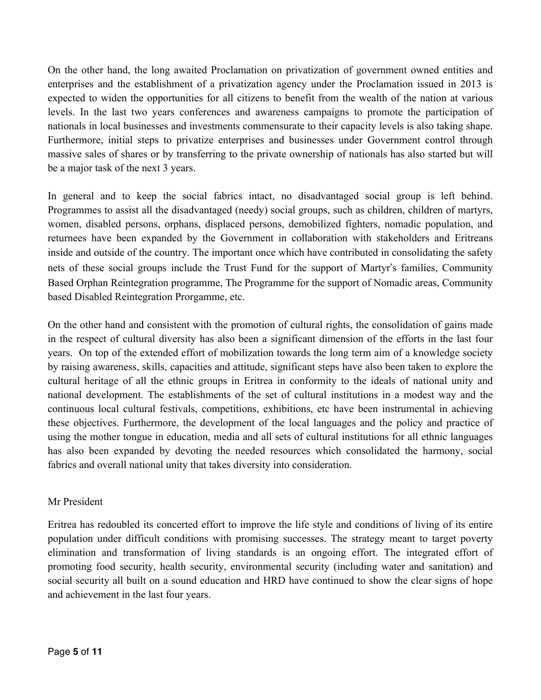On the other hand, the long awaited Proclamation on privatization of government owned entities and enterprises and the establishment of a privatization agency under the Proclamation issued in 2013 is expected to widen the opportunities for all citizens to benefit from the wealth of the nation at various levels. In the last two years conferences and awareness campaigns to promote the participation of nationals in local businesses and investments commensurate to their capacity levels is also taking shape. Furthermore, initial steps to privatize enterprises and businesses under Government control through massive sales of shares or by transferring to the private ownership of nationals has also started but will be a major task of the next 3 years.

In general and to keep the social fabrics intact, no disadvantaged social group is left behind. Programmes to assist all the disadvantaged (needy) social groups, such as children, children of martyrs, women, disabled persons, orphans, displaced persons, demobilized fighters, nomadic population, and returnees have been expanded by the Government in collaboration with stakeholders and Eritreans inside and outside of the country. The important once which have contributed in consolidating the safety nets of these social groups include the Trust Fund for the support of Martyr's families, Community Based Orphan Reintegration programme, The Programme for the support of Nomadic areas, Community based Disabled Reintegration Prorgamme, etc.

On the other hand and consistent with the promotion of cultural rights, the consolidation of gains made in the respect of cultural diversity has also been a significant dimension of the efforts in the last four years. On top of the extended effort of mobilization towards the long term aim of a knowledge society by raising awareness, skills, capacities and attitude, significant steps have also been taken to explore the cultural heritage of all the ethnic groups in Eritrea in conformity to the ideals of national unity and national development. The establishments of the set of cultural institutions in a modest way and the continuous local cultural festivals, competitions, exhibitions, etc have been instrumental in achieving these objectives. Furthermore, the development of the local languages and the policy and practice of using the mother tongue in education, media and all sets of cultural institutions for all ethnic languages has also been expanded by devoting the needed resources which consolidated the harmony, social fabrics and overall national unity that takes diversity into consideration.

#### Mr President

Eritrea has redoubled its concerted effort to improve the life style and conditions of living of its entire population under difficult conditions with promising successes. The strategy meant to target poverty elimination and transformation of living standards is an ongoing effort. The integrated effort of promoting food security, health security, environmental security (including water and sanitation) and social security all built on a sound education and HRD have continued to show the clear signs of hope and achievement in the last four years.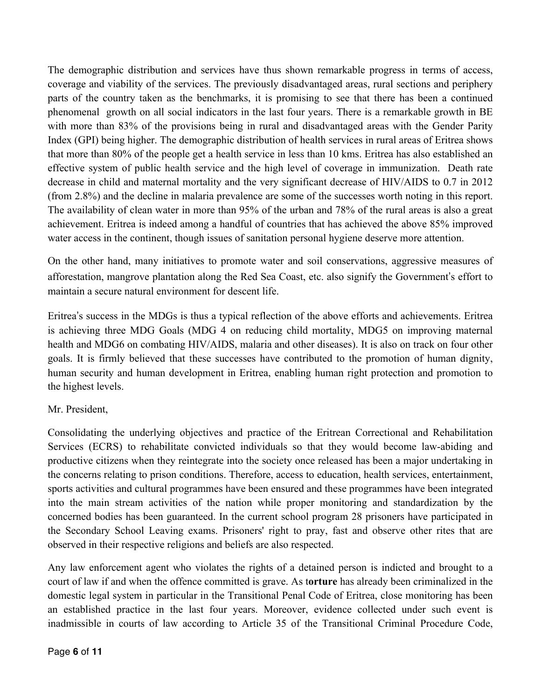The demographic distribution and services have thus shown remarkable progress in terms of access, coverage and viability of the services. The previously disadvantaged areas, rural sections and periphery parts of the country taken as the benchmarks, it is promising to see that there has been a continued phenomenal growth on all social indicators in the last four years. There is a remarkable growth in BE with more than 83% of the provisions being in rural and disadvantaged areas with the Gender Parity Index (GPI) being higher. The demographic distribution of health services in rural areas of Eritrea shows that more than 80% of the people get a health service in less than 10 kms. Eritrea has also established an effective system of public health service and the high level of coverage in immunization. Death rate decrease in child and maternal mortality and the very significant decrease of HIV/AIDS to 0.7 in 2012 (from 2.8%) and the decline in malaria prevalence are some of the successes worth noting in this report. The availability of clean water in more than 95% of the urban and 78% of the rural areas is also a great achievement. Eritrea is indeed among a handful of countries that has achieved the above 85% improved water access in the continent, though issues of sanitation personal hygiene deserve more attention.

On the other hand, many initiatives to promote water and soil conservations, aggressive measures of afforestation, mangrove plantation along the Red Sea Coast, etc. also signify the Government's effort to maintain a secure natural environment for descent life.

Eritrea's success in the MDGs is thus a typical reflection of the above efforts and achievements. Eritrea is achieving three MDG Goals (MDG 4 on reducing child mortality, MDG5 on improving maternal health and MDG6 on combating HIV/AIDS, malaria and other diseases). It is also on track on four other goals. It is firmly believed that these successes have contributed to the promotion of human dignity, human security and human development in Eritrea, enabling human right protection and promotion to the highest levels.

#### Mr. President,

Consolidating the underlying objectives and practice of the Eritrean Correctional and Rehabilitation Services (ECRS) to rehabilitate convicted individuals so that they would become law-abiding and productive citizens when they reintegrate into the society once released has been a major undertaking in the concerns relating to prison conditions. Therefore, access to education, health services, entertainment, sports activities and cultural programmes have been ensured and these programmes have been integrated into the main stream activities of the nation while proper monitoring and standardization by the concerned bodies has been guaranteed. In the current school program 28 prisoners have participated in the Secondary School Leaving exams. Prisoners' right to pray, fast and observe other rites that are observed in their respective religions and beliefs are also respected.

Any law enforcement agent who violates the rights of a detained person is indicted and brought to a court of law if and when the offence committed is grave. As t**orture** has already been criminalized in the domestic legal system in particular in the Transitional Penal Code of Eritrea, close monitoring has been an established practice in the last four years. Moreover, evidence collected under such event is inadmissible in courts of law according to Article 35 of the Transitional Criminal Procedure Code,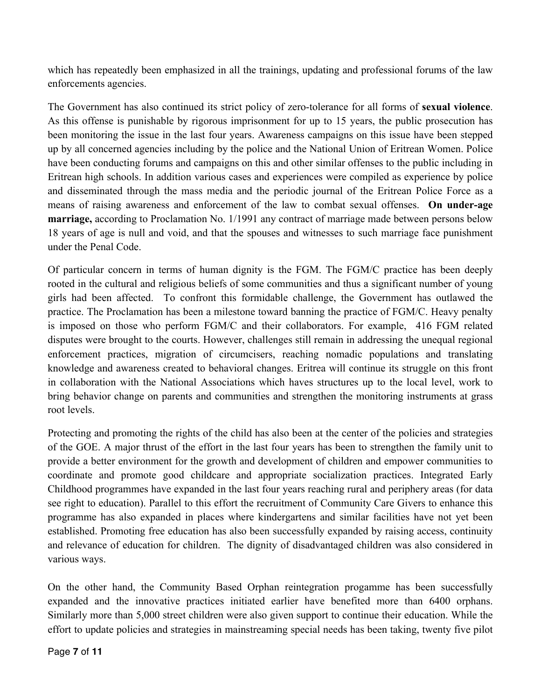which has repeatedly been emphasized in all the trainings, updating and professional forums of the law enforcements agencies.

The Government has also continued its strict policy of zero-tolerance for all forms of **sexual violence**. As this offense is punishable by rigorous imprisonment for up to 15 years, the public prosecution has been monitoring the issue in the last four years. Awareness campaigns on this issue have been stepped up by all concerned agencies including by the police and the National Union of Eritrean Women. Police have been conducting forums and campaigns on this and other similar offenses to the public including in Eritrean high schools. In addition various cases and experiences were compiled as experience by police and disseminated through the mass media and the periodic journal of the Eritrean Police Force as a means of raising awareness and enforcement of the law to combat sexual offenses. **On under-age marriage,** according to Proclamation No. 1/1991 any contract of marriage made between persons below 18 years of age is null and void, and that the spouses and witnesses to such marriage face punishment under the Penal Code.

Of particular concern in terms of human dignity is the FGM. The FGM/C practice has been deeply rooted in the cultural and religious beliefs of some communities and thus a significant number of young girls had been affected. To confront this formidable challenge, the Government has outlawed the practice. The Proclamation has been a milestone toward banning the practice of FGM/C. Heavy penalty is imposed on those who perform FGM/C and their collaborators. For example, 416 FGM related disputes were brought to the courts. However, challenges still remain in addressing the unequal regional enforcement practices, migration of circumcisers, reaching nomadic populations and translating knowledge and awareness created to behavioral changes. Eritrea will continue its struggle on this front in collaboration with the National Associations which haves structures up to the local level, work to bring behavior change on parents and communities and strengthen the monitoring instruments at grass root levels.

Protecting and promoting the rights of the child has also been at the center of the policies and strategies of the GOE. A major thrust of the effort in the last four years has been to strengthen the family unit to provide a better environment for the growth and development of children and empower communities to coordinate and promote good childcare and appropriate socialization practices. Integrated Early Childhood programmes have expanded in the last four years reaching rural and periphery areas (for data see right to education). Parallel to this effort the recruitment of Community Care Givers to enhance this programme has also expanded in places where kindergartens and similar facilities have not yet been established. Promoting free education has also been successfully expanded by raising access, continuity and relevance of education for children. The dignity of disadvantaged children was also considered in various ways.

On the other hand, the Community Based Orphan reintegration progamme has been successfully expanded and the innovative practices initiated earlier have benefited more than 6400 orphans. Similarly more than 5,000 street children were also given support to continue their education. While the effort to update policies and strategies in mainstreaming special needs has been taking, twenty five pilot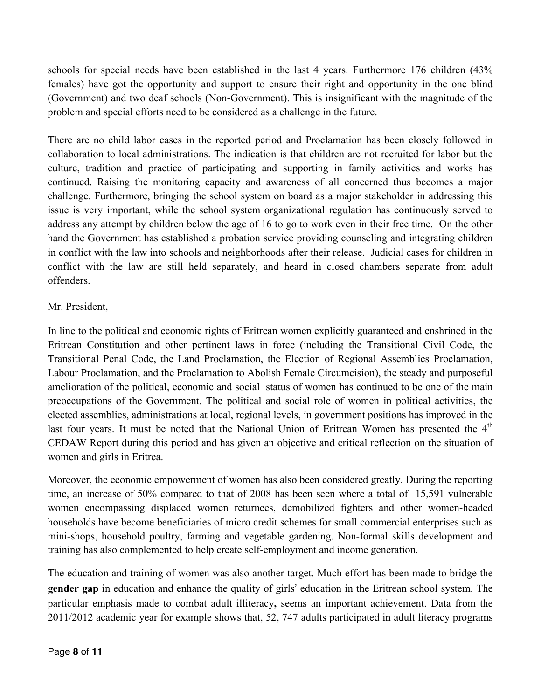schools for special needs have been established in the last 4 years. Furthermore 176 children (43% females) have got the opportunity and support to ensure their right and opportunity in the one blind (Government) and two deaf schools (Non-Government). This is insignificant with the magnitude of the problem and special efforts need to be considered as a challenge in the future.

There are no child labor cases in the reported period and Proclamation has been closely followed in collaboration to local administrations. The indication is that children are not recruited for labor but the culture, tradition and practice of participating and supporting in family activities and works has continued. Raising the monitoring capacity and awareness of all concerned thus becomes a major challenge. Furthermore, bringing the school system on board as a major stakeholder in addressing this issue is very important, while the school system organizational regulation has continuously served to address any attempt by children below the age of 16 to go to work even in their free time. On the other hand the Government has established a probation service providing counseling and integrating children in conflict with the law into schools and neighborhoods after their release. Judicial cases for children in conflict with the law are still held separately, and heard in closed chambers separate from adult offenders.

# Mr. President,

In line to the political and economic rights of Eritrean women explicitly guaranteed and enshrined in the Eritrean Constitution and other pertinent laws in force (including the Transitional Civil Code, the Transitional Penal Code, the Land Proclamation, the Election of Regional Assemblies Proclamation, Labour Proclamation, and the Proclamation to Abolish Female Circumcision), the steady and purposeful amelioration of the political, economic and social status of women has continued to be one of the main preoccupations of the Government. The political and social role of women in political activities, the elected assemblies, administrations at local, regional levels, in government positions has improved in the last four years. It must be noted that the National Union of Eritrean Women has presented the  $4<sup>th</sup>$ CEDAW Report during this period and has given an objective and critical reflection on the situation of women and girls in Eritrea.

Moreover, the economic empowerment of women has also been considered greatly. During the reporting time, an increase of 50% compared to that of 2008 has been seen where a total of 15,591 vulnerable women encompassing displaced women returnees, demobilized fighters and other women-headed households have become beneficiaries of micro credit schemes for small commercial enterprises such as mini-shops, household poultry, farming and vegetable gardening. Non-formal skills development and training has also complemented to help create self-employment and income generation.

The education and training of women was also another target. Much effort has been made to bridge the **gender gap** in education and enhance the quality of girls' education in the Eritrean school system. The particular emphasis made to combat adult illiteracy**,** seems an important achievement. Data from the 2011/2012 academic year for example shows that, 52, 747 adults participated in adult literacy programs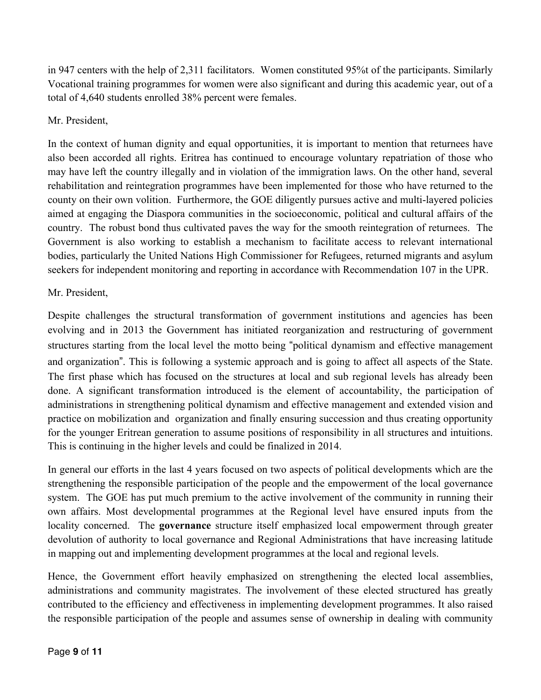in 947 centers with the help of 2,311 facilitators. Women constituted 95%t of the participants. Similarly Vocational training programmes for women were also significant and during this academic year, out of a total of 4,640 students enrolled 38% percent were females.

## Mr. President,

In the context of human dignity and equal opportunities, it is important to mention that returnees have also been accorded all rights. Eritrea has continued to encourage voluntary repatriation of those who may have left the country illegally and in violation of the immigration laws. On the other hand, several rehabilitation and reintegration programmes have been implemented for those who have returned to the county on their own volition. Furthermore, the GOE diligently pursues active and multi-layered policies aimed at engaging the Diaspora communities in the socioeconomic, political and cultural affairs of the country. The robust bond thus cultivated paves the way for the smooth reintegration of returnees. The Government is also working to establish a mechanism to facilitate access to relevant international bodies, particularly the United Nations High Commissioner for Refugees, returned migrants and asylum seekers for independent monitoring and reporting in accordance with Recommendation 107 in the UPR.

## Mr. President,

Despite challenges the structural transformation of government institutions and agencies has been evolving and in 2013 the Government has initiated reorganization and restructuring of government structures starting from the local level the motto being "political dynamism and effective management and organization". This is following a systemic approach and is going to affect all aspects of the State. The first phase which has focused on the structures at local and sub regional levels has already been done. A significant transformation introduced is the element of accountability, the participation of administrations in strengthening political dynamism and effective management and extended vision and practice on mobilization and organization and finally ensuring succession and thus creating opportunity for the younger Eritrean generation to assume positions of responsibility in all structures and intuitions. This is continuing in the higher levels and could be finalized in 2014.

In general our efforts in the last 4 years focused on two aspects of political developments which are the strengthening the responsible participation of the people and the empowerment of the local governance system. The GOE has put much premium to the active involvement of the community in running their own affairs. Most developmental programmes at the Regional level have ensured inputs from the locality concerned. The **governance** structure itself emphasized local empowerment through greater devolution of authority to local governance and Regional Administrations that have increasing latitude in mapping out and implementing development programmes at the local and regional levels.

Hence, the Government effort heavily emphasized on strengthening the elected local assemblies, administrations and community magistrates. The involvement of these elected structured has greatly contributed to the efficiency and effectiveness in implementing development programmes. It also raised the responsible participation of the people and assumes sense of ownership in dealing with community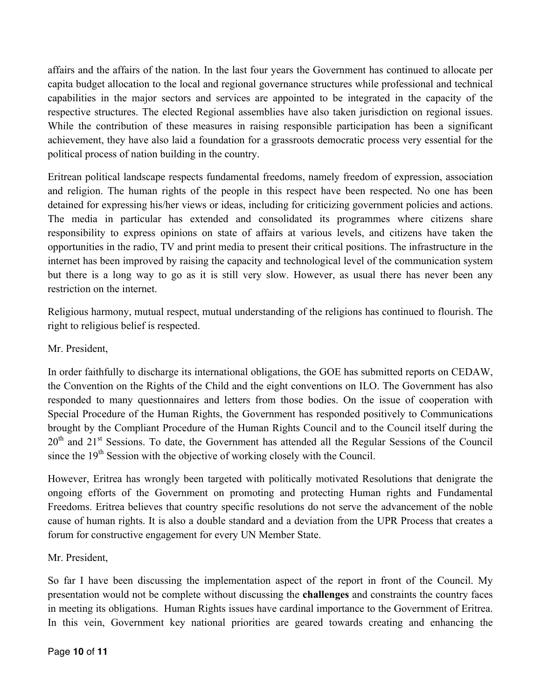affairs and the affairs of the nation. In the last four years the Government has continued to allocate per capita budget allocation to the local and regional governance structures while professional and technical capabilities in the major sectors and services are appointed to be integrated in the capacity of the respective structures. The elected Regional assemblies have also taken jurisdiction on regional issues. While the contribution of these measures in raising responsible participation has been a significant achievement, they have also laid a foundation for a grassroots democratic process very essential for the political process of nation building in the country.

Eritrean political landscape respects fundamental freedoms, namely freedom of expression, association and religion. The human rights of the people in this respect have been respected. No one has been detained for expressing his/her views or ideas, including for criticizing government policies and actions. The media in particular has extended and consolidated its programmes where citizens share responsibility to express opinions on state of affairs at various levels, and citizens have taken the opportunities in the radio, TV and print media to present their critical positions. The infrastructure in the internet has been improved by raising the capacity and technological level of the communication system but there is a long way to go as it is still very slow. However, as usual there has never been any restriction on the internet.

Religious harmony, mutual respect, mutual understanding of the religions has continued to flourish. The right to religious belief is respected.

## Mr. President,

In order faithfully to discharge its international obligations, the GOE has submitted reports on CEDAW, the Convention on the Rights of the Child and the eight conventions on ILO. The Government has also responded to many questionnaires and letters from those bodies. On the issue of cooperation with Special Procedure of the Human Rights, the Government has responded positively to Communications brought by the Compliant Procedure of the Human Rights Council and to the Council itself during the 20<sup>th</sup> and 21<sup>st</sup> Sessions. To date, the Government has attended all the Regular Sessions of the Council since the  $19<sup>th</sup>$  Session with the objective of working closely with the Council.

However, Eritrea has wrongly been targeted with politically motivated Resolutions that denigrate the ongoing efforts of the Government on promoting and protecting Human rights and Fundamental Freedoms. Eritrea believes that country specific resolutions do not serve the advancement of the noble cause of human rights. It is also a double standard and a deviation from the UPR Process that creates a forum for constructive engagement for every UN Member State.

#### Mr. President,

So far I have been discussing the implementation aspect of the report in front of the Council. My presentation would not be complete without discussing the **challenges** and constraints the country faces in meeting its obligations. Human Rights issues have cardinal importance to the Government of Eritrea. In this vein, Government key national priorities are geared towards creating and enhancing the